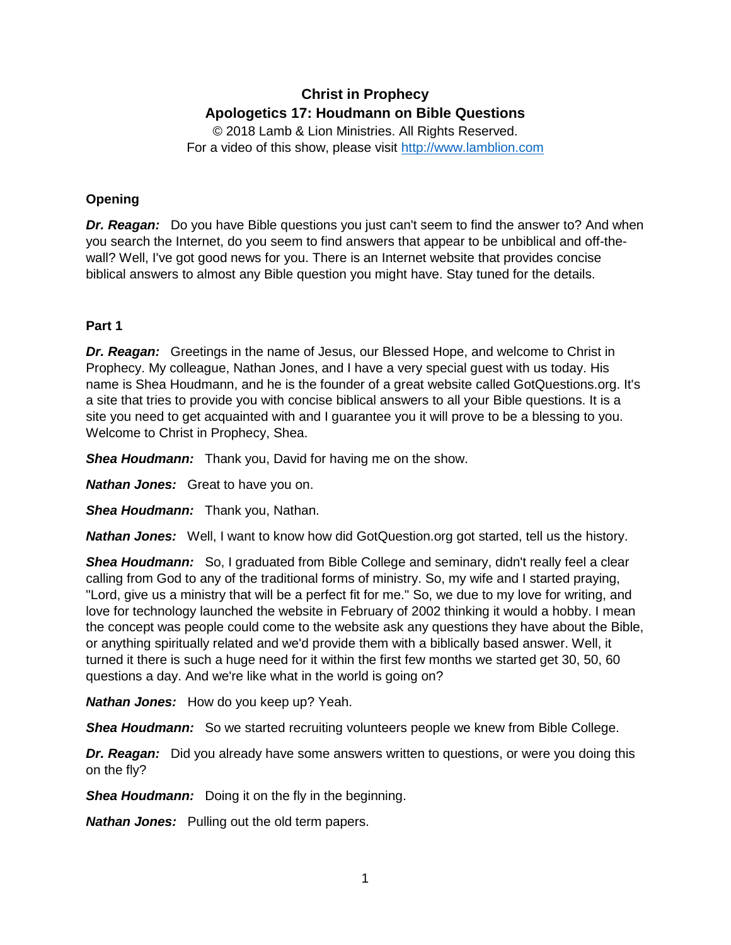# **Christ in Prophecy Apologetics 17: Houdmann on Bible Questions**

© 2018 Lamb & Lion Ministries. All Rights Reserved. For a video of this show, please visit [http://www.lamblion.com](http://www.lamblion.com/)

# **Opening**

*Dr. Reagan:* Do you have Bible questions you just can't seem to find the answer to? And when you search the Internet, do you seem to find answers that appear to be unbiblical and off-thewall? Well, I've got good news for you. There is an Internet website that provides concise biblical answers to almost any Bible question you might have. Stay tuned for the details.

## **Part 1**

*Dr. Reagan:* Greetings in the name of Jesus, our Blessed Hope, and welcome to Christ in Prophecy. My colleague, Nathan Jones, and I have a very special guest with us today. His name is Shea Houdmann, and he is the founder of a great website called GotQuestions.org. It's a site that tries to provide you with concise biblical answers to all your Bible questions. It is a site you need to get acquainted with and I guarantee you it will prove to be a blessing to you. Welcome to Christ in Prophecy, Shea.

*Shea Houdmann:* Thank you, David for having me on the show.

*Nathan Jones:* Great to have you on.

*Shea Houdmann:* Thank you, Nathan.

*Nathan Jones:* Well, I want to know how did GotQuestion.org got started, tell us the history.

**Shea Houdmann:** So, I graduated from Bible College and seminary, didn't really feel a clear calling from God to any of the traditional forms of ministry. So, my wife and I started praying, "Lord, give us a ministry that will be a perfect fit for me." So, we due to my love for writing, and love for technology launched the website in February of 2002 thinking it would a hobby. I mean the concept was people could come to the website ask any questions they have about the Bible, or anything spiritually related and we'd provide them with a biblically based answer. Well, it turned it there is such a huge need for it within the first few months we started get 30, 50, 60 questions a day. And we're like what in the world is going on?

*Nathan Jones:* How do you keep up? Yeah.

**Shea Houdmann:** So we started recruiting volunteers people we knew from Bible College.

*Dr. Reagan:* Did you already have some answers written to questions, or were you doing this on the fly?

*Shea Houdmann:* Doing it on the fly in the beginning.

*Nathan Jones:* Pulling out the old term papers.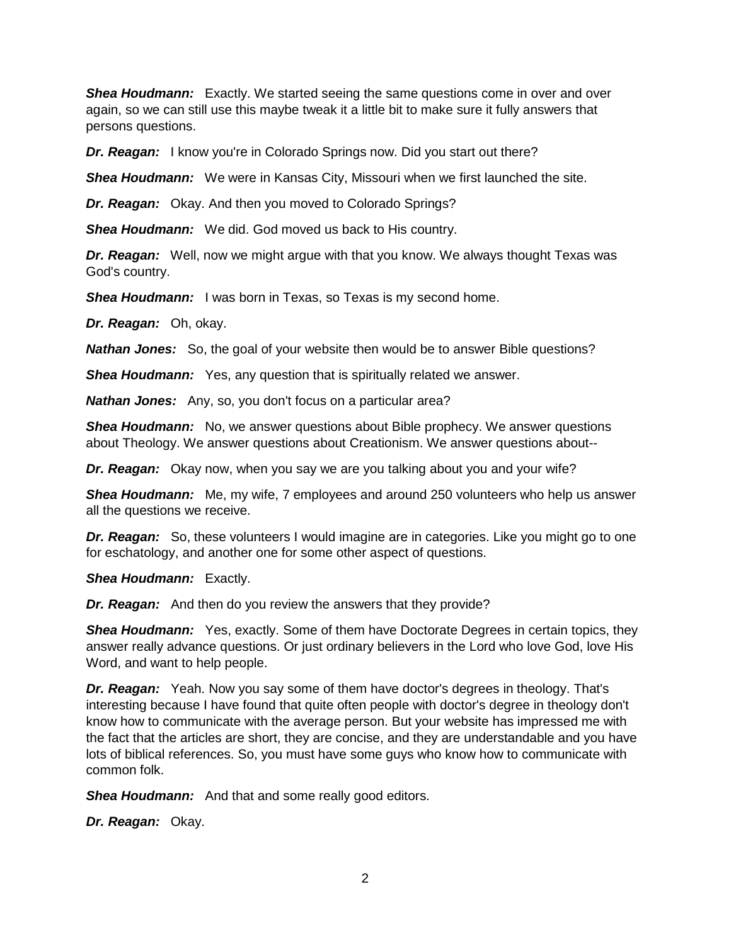*Shea Houdmann:* Exactly. We started seeing the same questions come in over and over again, so we can still use this maybe tweak it a little bit to make sure it fully answers that persons questions.

*Dr. Reagan:* I know you're in Colorado Springs now. Did you start out there?

*Shea Houdmann:* We were in Kansas City, Missouri when we first launched the site.

*Dr. Reagan:* Okay. And then you moved to Colorado Springs?

*Shea Houdmann:* We did. God moved us back to His country.

*Dr. Reagan:* Well, now we might argue with that you know. We always thought Texas was God's country.

*Shea Houdmann:* I was born in Texas, so Texas is my second home.

*Dr. Reagan:* Oh, okay.

**Nathan Jones:** So, the goal of your website then would be to answer Bible questions?

*Shea Houdmann:* Yes, any question that is spiritually related we answer.

*Nathan Jones:* Any, so, you don't focus on a particular area?

**Shea Houdmann:** No, we answer questions about Bible prophecy. We answer questions about Theology. We answer questions about Creationism. We answer questions about--

*Dr. Reagan:* Okay now, when you say we are you talking about you and your wife?

*Shea Houdmann:* Me, my wife, 7 employees and around 250 volunteers who help us answer all the questions we receive.

*Dr. Reagan:* So, these volunteers I would imagine are in categories. Like you might go to one for eschatology, and another one for some other aspect of questions.

*Shea Houdmann:* Exactly.

*Dr. Reagan:* And then do you review the answers that they provide?

**Shea Houdmann:** Yes, exactly. Some of them have Doctorate Degrees in certain topics, they answer really advance questions. Or just ordinary believers in the Lord who love God, love His Word, and want to help people.

*Dr. Reagan:* Yeah. Now you say some of them have doctor's degrees in theology. That's interesting because I have found that quite often people with doctor's degree in theology don't know how to communicate with the average person. But your website has impressed me with the fact that the articles are short, they are concise, and they are understandable and you have lots of biblical references. So, you must have some guys who know how to communicate with common folk.

*Shea Houdmann:* And that and some really good editors.

*Dr. Reagan:* Okay.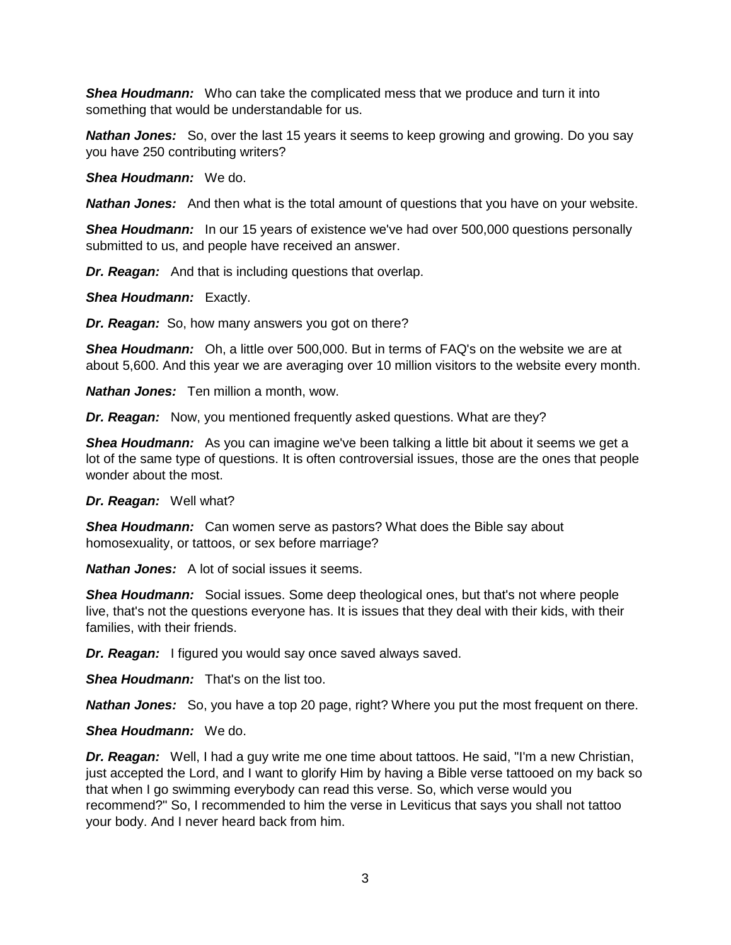*Shea Houdmann:* Who can take the complicated mess that we produce and turn it into something that would be understandable for us.

*Nathan Jones:* So, over the last 15 years it seems to keep growing and growing. Do you say you have 250 contributing writers?

*Shea Houdmann:* We do.

*Nathan Jones:* And then what is the total amount of questions that you have on your website.

**Shea Houdmann:** In our 15 years of existence we've had over 500,000 questions personally submitted to us, and people have received an answer.

*Dr. Reagan:* And that is including questions that overlap.

*Shea Houdmann:* Exactly.

*Dr. Reagan:* So, how many answers you got on there?

*Shea Houdmann:* Oh, a little over 500,000. But in terms of FAQ's on the website we are at about 5,600. And this year we are averaging over 10 million visitors to the website every month.

*Nathan Jones:* Ten million a month, wow.

*Dr. Reagan:* Now, you mentioned frequently asked questions. What are they?

*Shea Houdmann:* As you can imagine we've been talking a little bit about it seems we get a lot of the same type of questions. It is often controversial issues, those are the ones that people wonder about the most.

#### *Dr. Reagan:* Well what?

*Shea Houdmann:* Can women serve as pastors? What does the Bible say about homosexuality, or tattoos, or sex before marriage?

*Nathan Jones:* A lot of social issues it seems.

**Shea Houdmann:** Social issues. Some deep theological ones, but that's not where people live, that's not the questions everyone has. It is issues that they deal with their kids, with their families, with their friends.

*Dr. Reagan:* I figured you would say once saved always saved.

*Shea Houdmann:* That's on the list too.

**Nathan Jones:** So, you have a top 20 page, right? Where you put the most frequent on there.

#### *Shea Houdmann:* We do.

*Dr. Reagan:* Well, I had a guy write me one time about tattoos. He said, "I'm a new Christian, just accepted the Lord, and I want to glorify Him by having a Bible verse tattooed on my back so that when I go swimming everybody can read this verse. So, which verse would you recommend?" So, I recommended to him the verse in Leviticus that says you shall not tattoo your body. And I never heard back from him.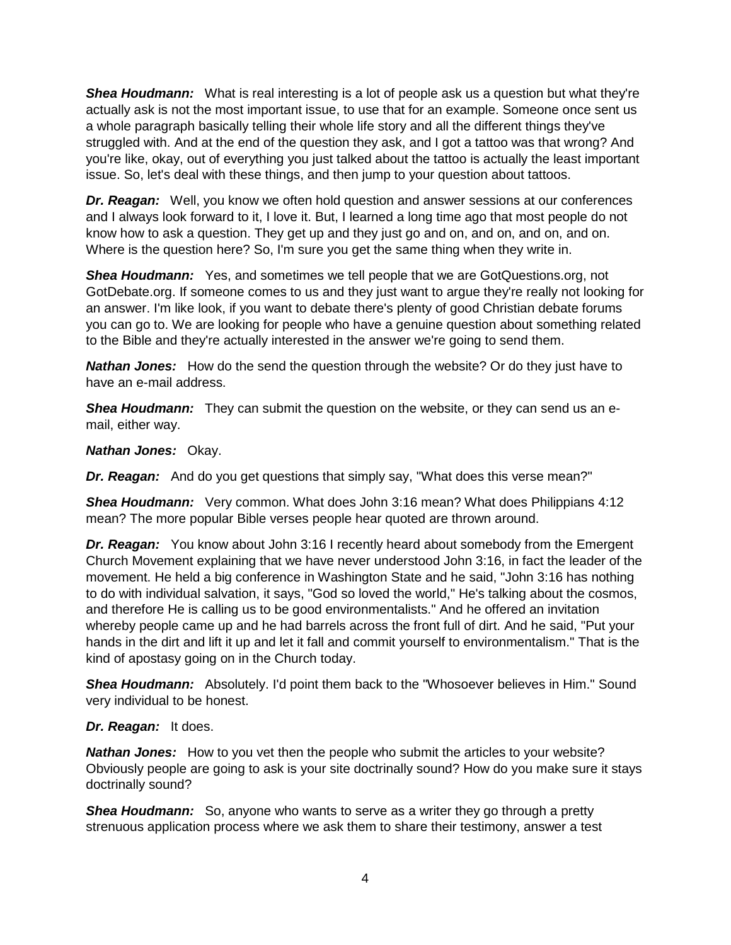**Shea Houdmann:** What is real interesting is a lot of people ask us a question but what they're actually ask is not the most important issue, to use that for an example. Someone once sent us a whole paragraph basically telling their whole life story and all the different things they've struggled with. And at the end of the question they ask, and I got a tattoo was that wrong? And you're like, okay, out of everything you just talked about the tattoo is actually the least important issue. So, let's deal with these things, and then jump to your question about tattoos.

*Dr. Reagan:* Well, you know we often hold question and answer sessions at our conferences and I always look forward to it, I love it. But, I learned a long time ago that most people do not know how to ask a question. They get up and they just go and on, and on, and on, and on. Where is the question here? So, I'm sure you get the same thing when they write in.

**Shea Houdmann:** Yes, and sometimes we tell people that we are GotQuestions.org, not GotDebate.org. If someone comes to us and they just want to argue they're really not looking for an answer. I'm like look, if you want to debate there's plenty of good Christian debate forums you can go to. We are looking for people who have a genuine question about something related to the Bible and they're actually interested in the answer we're going to send them.

*Nathan Jones:* How do the send the question through the website? Or do they just have to have an e-mail address.

**Shea Houdmann:** They can submit the question on the website, or they can send us an email, either way.

#### *Nathan Jones:* Okay.

*Dr. Reagan:* And do you get questions that simply say, "What does this verse mean?"

*Shea Houdmann:* Very common. What does John 3:16 mean? What does Philippians 4:12 mean? The more popular Bible verses people hear quoted are thrown around.

**Dr. Reagan:** You know about John 3:16 I recently heard about somebody from the Emergent Church Movement explaining that we have never understood John 3:16, in fact the leader of the movement. He held a big conference in Washington State and he said, "John 3:16 has nothing to do with individual salvation, it says, "God so loved the world," He's talking about the cosmos, and therefore He is calling us to be good environmentalists." And he offered an invitation whereby people came up and he had barrels across the front full of dirt. And he said, "Put your hands in the dirt and lift it up and let it fall and commit yourself to environmentalism." That is the kind of apostasy going on in the Church today.

**Shea Houdmann:** Absolutely. I'd point them back to the "Whosoever believes in Him." Sound very individual to be honest.

#### *Dr. Reagan:* It does.

*Nathan Jones:* How to you vet then the people who submit the articles to your website? Obviously people are going to ask is your site doctrinally sound? How do you make sure it stays doctrinally sound?

**Shea Houdmann:** So, anyone who wants to serve as a writer they go through a pretty strenuous application process where we ask them to share their testimony, answer a test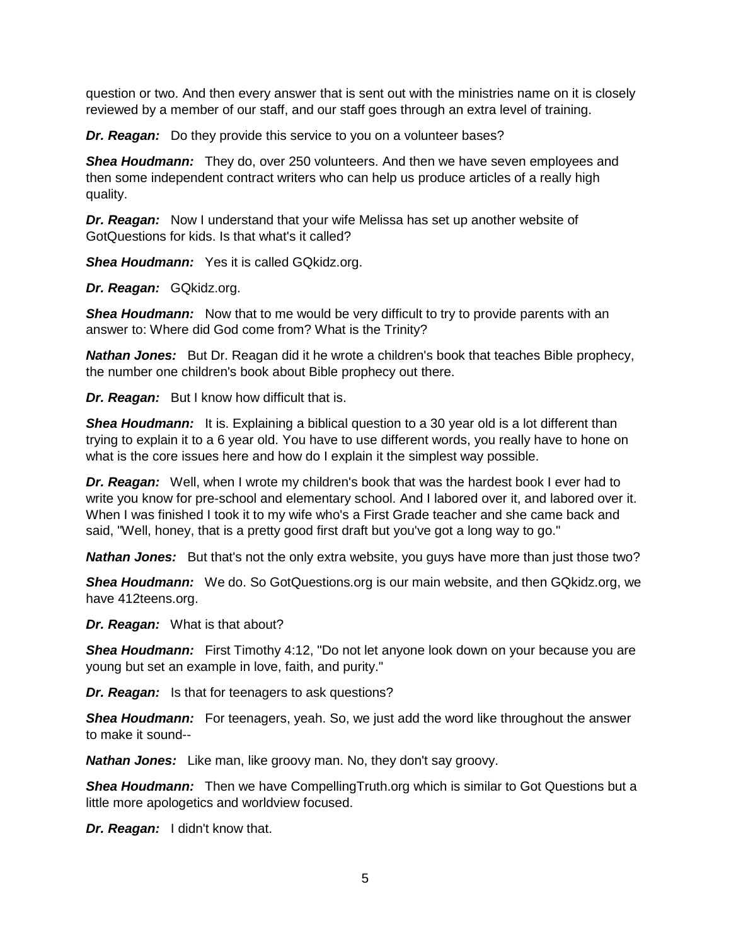question or two. And then every answer that is sent out with the ministries name on it is closely reviewed by a member of our staff, and our staff goes through an extra level of training.

*Dr. Reagan:* Do they provide this service to you on a volunteer bases?

**Shea Houdmann:** They do, over 250 volunteers. And then we have seven employees and then some independent contract writers who can help us produce articles of a really high quality.

*Dr. Reagan:* Now I understand that your wife Melissa has set up another website of GotQuestions for kids. Is that what's it called?

*Shea Houdmann:* Yes it is called GQkidz.org.

*Dr. Reagan:* GQkidz.org.

**Shea Houdmann:** Now that to me would be very difficult to try to provide parents with an answer to: Where did God come from? What is the Trinity?

*Nathan Jones:* But Dr. Reagan did it he wrote a children's book that teaches Bible prophecy, the number one children's book about Bible prophecy out there.

*Dr. Reagan:* But I know how difficult that is.

**Shea Houdmann:** It is. Explaining a biblical question to a 30 year old is a lot different than trying to explain it to a 6 year old. You have to use different words, you really have to hone on what is the core issues here and how do I explain it the simplest way possible.

*Dr. Reagan:* Well, when I wrote my children's book that was the hardest book I ever had to write you know for pre-school and elementary school. And I labored over it, and labored over it. When I was finished I took it to my wife who's a First Grade teacher and she came back and said, "Well, honey, that is a pretty good first draft but you've got a long way to go."

**Nathan Jones:** But that's not the only extra website, you guys have more than just those two?

*Shea Houdmann:* We do. So GotQuestions.org is our main website, and then GQkidz.org, we have 412teens.org.

*Dr. Reagan:* What is that about?

**Shea Houdmann:** First Timothy 4:12, "Do not let anyone look down on your because you are young but set an example in love, faith, and purity."

*Dr. Reagan:* Is that for teenagers to ask questions?

**Shea Houdmann:** For teenagers, yeah. So, we just add the word like throughout the answer to make it sound--

*Nathan Jones:* Like man, like groovy man. No, they don't say groovy.

**Shea Houdmann:** Then we have CompellingTruth.org which is similar to Got Questions but a little more apologetics and worldview focused.

*Dr. Reagan:* I didn't know that.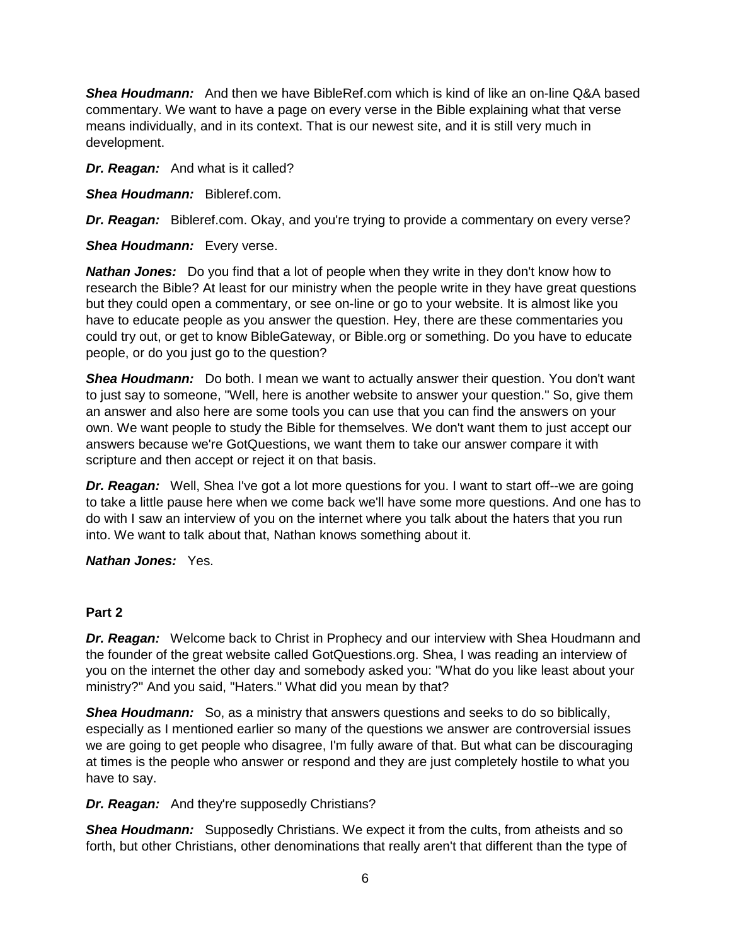*Shea Houdmann:* And then we have BibleRef.com which is kind of like an on-line Q&A based commentary. We want to have a page on every verse in the Bible explaining what that verse means individually, and in its context. That is our newest site, and it is still very much in development.

*Dr. Reagan:* And what is it called?

*Shea Houdmann:* Bibleref.com.

*Dr. Reagan:* Bibleref.com. Okay, and you're trying to provide a commentary on every verse?

*Shea Houdmann:* Every verse.

*Nathan Jones:* Do you find that a lot of people when they write in they don't know how to research the Bible? At least for our ministry when the people write in they have great questions but they could open a commentary, or see on-line or go to your website. It is almost like you have to educate people as you answer the question. Hey, there are these commentaries you could try out, or get to know BibleGateway, or Bible.org or something. Do you have to educate people, or do you just go to the question?

**Shea Houdmann:** Do both. I mean we want to actually answer their question. You don't want to just say to someone, "Well, here is another website to answer your question." So, give them an answer and also here are some tools you can use that you can find the answers on your own. We want people to study the Bible for themselves. We don't want them to just accept our answers because we're GotQuestions, we want them to take our answer compare it with scripture and then accept or reject it on that basis.

**Dr. Reagan:** Well, Shea I've got a lot more questions for you. I want to start off--we are going to take a little pause here when we come back we'll have some more questions. And one has to do with I saw an interview of you on the internet where you talk about the haters that you run into. We want to talk about that, Nathan knows something about it.

*Nathan Jones:* Yes.

#### **Part 2**

*Dr. Reagan:* Welcome back to Christ in Prophecy and our interview with Shea Houdmann and the founder of the great website called GotQuestions.org. Shea, I was reading an interview of you on the internet the other day and somebody asked you: "What do you like least about your ministry?" And you said, "Haters." What did you mean by that?

*Shea Houdmann:* So, as a ministry that answers questions and seeks to do so biblically, especially as I mentioned earlier so many of the questions we answer are controversial issues we are going to get people who disagree, I'm fully aware of that. But what can be discouraging at times is the people who answer or respond and they are just completely hostile to what you have to say.

*Dr. Reagan:* And they're supposedly Christians?

**Shea Houdmann:** Supposedly Christians. We expect it from the cults, from atheists and so forth, but other Christians, other denominations that really aren't that different than the type of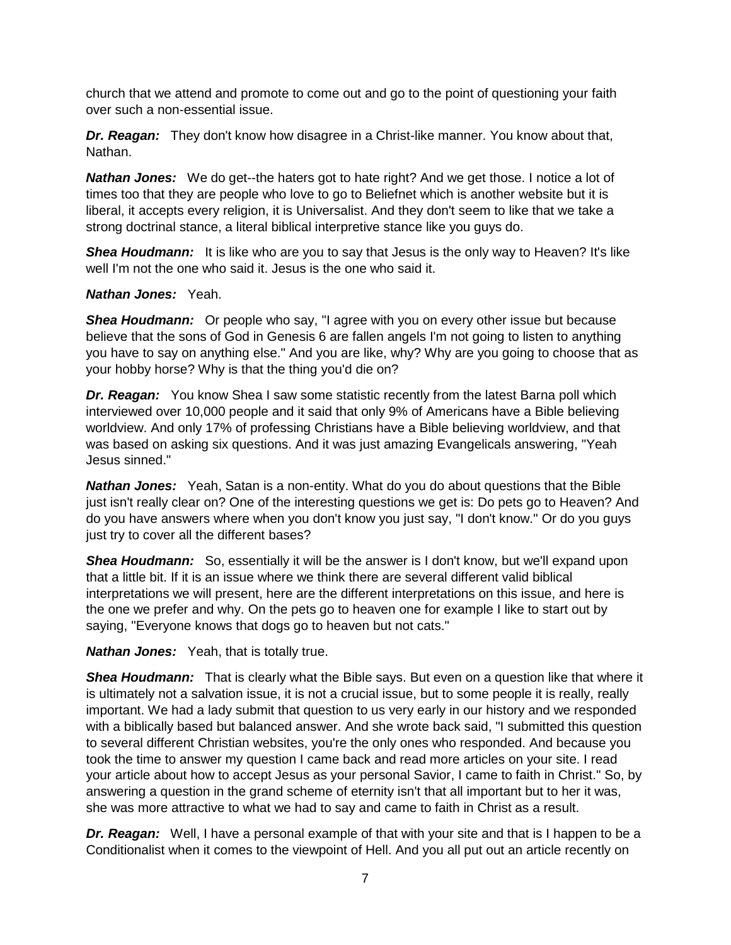church that we attend and promote to come out and go to the point of questioning your faith over such a non-essential issue.

*Dr. Reagan:* They don't know how disagree in a Christ-like manner. You know about that, Nathan.

**Nathan Jones:** We do get--the haters got to hate right? And we get those. I notice a lot of times too that they are people who love to go to Beliefnet which is another website but it is liberal, it accepts every religion, it is Universalist. And they don't seem to like that we take a strong doctrinal stance, a literal biblical interpretive stance like you guys do.

**Shea Houdmann:** It is like who are you to say that Jesus is the only way to Heaven? It's like well I'm not the one who said it. Jesus is the one who said it.

#### *Nathan Jones:* Yeah.

**Shea Houdmann:** Or people who say, "I agree with you on every other issue but because believe that the sons of God in Genesis 6 are fallen angels I'm not going to listen to anything you have to say on anything else." And you are like, why? Why are you going to choose that as your hobby horse? Why is that the thing you'd die on?

*Dr. Reagan:* You know Shea I saw some statistic recently from the latest Barna poll which interviewed over 10,000 people and it said that only 9% of Americans have a Bible believing worldview. And only 17% of professing Christians have a Bible believing worldview, and that was based on asking six questions. And it was just amazing Evangelicals answering, "Yeah Jesus sinned."

*Nathan Jones:* Yeah, Satan is a non-entity. What do you do about questions that the Bible just isn't really clear on? One of the interesting questions we get is: Do pets go to Heaven? And do you have answers where when you don't know you just say, "I don't know." Or do you guys just try to cover all the different bases?

**Shea Houdmann:** So, essentially it will be the answer is I don't know, but we'll expand upon that a little bit. If it is an issue where we think there are several different valid biblical interpretations we will present, here are the different interpretations on this issue, and here is the one we prefer and why. On the pets go to heaven one for example I like to start out by saying, "Everyone knows that dogs go to heaven but not cats."

*Nathan Jones:* Yeah, that is totally true.

**Shea Houdmann:** That is clearly what the Bible says. But even on a question like that where it is ultimately not a salvation issue, it is not a crucial issue, but to some people it is really, really important. We had a lady submit that question to us very early in our history and we responded with a biblically based but balanced answer. And she wrote back said, "I submitted this question to several different Christian websites, you're the only ones who responded. And because you took the time to answer my question I came back and read more articles on your site. I read your article about how to accept Jesus as your personal Savior, I came to faith in Christ." So, by answering a question in the grand scheme of eternity isn't that all important but to her it was, she was more attractive to what we had to say and came to faith in Christ as a result.

**Dr. Reagan:** Well, I have a personal example of that with your site and that is I happen to be a Conditionalist when it comes to the viewpoint of Hell. And you all put out an article recently on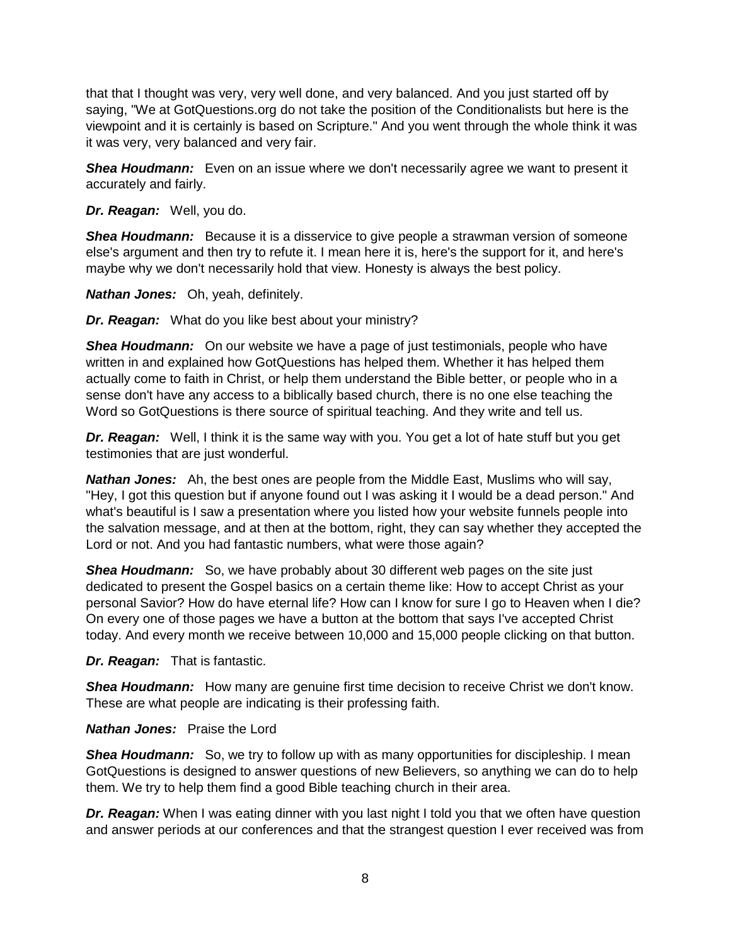that that I thought was very, very well done, and very balanced. And you just started off by saying, "We at GotQuestions.org do not take the position of the Conditionalists but here is the viewpoint and it is certainly is based on Scripture." And you went through the whole think it was it was very, very balanced and very fair.

**Shea Houdmann:** Even on an issue where we don't necessarily agree we want to present it accurately and fairly.

*Dr. Reagan:* Well, you do.

**Shea Houdmann:** Because it is a disservice to give people a strawman version of someone else's argument and then try to refute it. I mean here it is, here's the support for it, and here's maybe why we don't necessarily hold that view. Honesty is always the best policy.

*Nathan Jones:* Oh, yeah, definitely.

*Dr. Reagan:* What do you like best about your ministry?

**Shea Houdmann:** On our website we have a page of just testimonials, people who have written in and explained how GotQuestions has helped them. Whether it has helped them actually come to faith in Christ, or help them understand the Bible better, or people who in a sense don't have any access to a biblically based church, there is no one else teaching the Word so GotQuestions is there source of spiritual teaching. And they write and tell us.

*Dr. Reagan:* Well, I think it is the same way with you. You get a lot of hate stuff but you get testimonies that are just wonderful.

*Nathan Jones:* Ah, the best ones are people from the Middle East, Muslims who will say, "Hey, I got this question but if anyone found out I was asking it I would be a dead person." And what's beautiful is I saw a presentation where you listed how your website funnels people into the salvation message, and at then at the bottom, right, they can say whether they accepted the Lord or not. And you had fantastic numbers, what were those again?

**Shea Houdmann:** So, we have probably about 30 different web pages on the site just dedicated to present the Gospel basics on a certain theme like: How to accept Christ as your personal Savior? How do have eternal life? How can I know for sure I go to Heaven when I die? On every one of those pages we have a button at the bottom that says I've accepted Christ today. And every month we receive between 10,000 and 15,000 people clicking on that button.

*Dr. Reagan:* That is fantastic.

**Shea Houdmann:** How many are genuine first time decision to receive Christ we don't know. These are what people are indicating is their professing faith.

#### *Nathan Jones:* Praise the Lord

**Shea Houdmann:** So, we try to follow up with as many opportunities for discipleship. I mean GotQuestions is designed to answer questions of new Believers, so anything we can do to help them. We try to help them find a good Bible teaching church in their area.

**Dr. Reagan:** When I was eating dinner with you last night I told you that we often have question and answer periods at our conferences and that the strangest question I ever received was from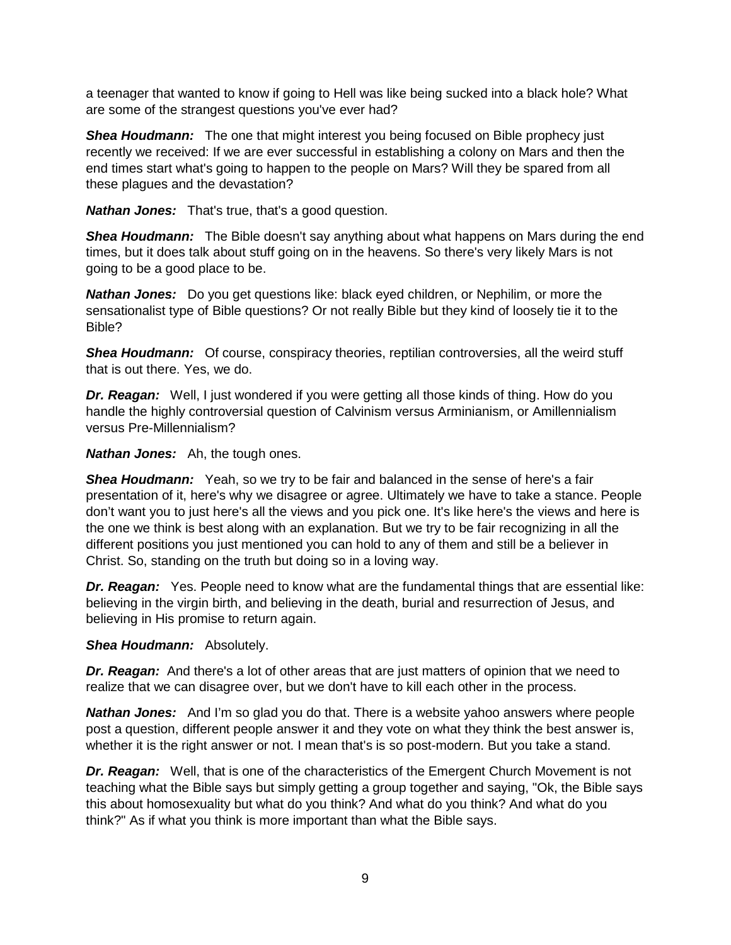a teenager that wanted to know if going to Hell was like being sucked into a black hole? What are some of the strangest questions you've ever had?

**Shea Houdmann:** The one that might interest you being focused on Bible prophecy just recently we received: If we are ever successful in establishing a colony on Mars and then the end times start what's going to happen to the people on Mars? Will they be spared from all these plagues and the devastation?

*Nathan Jones:* That's true, that's a good question.

**Shea Houdmann:** The Bible doesn't say anything about what happens on Mars during the end times, but it does talk about stuff going on in the heavens. So there's very likely Mars is not going to be a good place to be.

*Nathan Jones:* Do you get questions like: black eyed children, or Nephilim, or more the sensationalist type of Bible questions? Or not really Bible but they kind of loosely tie it to the Bible?

**Shea Houdmann:** Of course, conspiracy theories, reptilian controversies, all the weird stuff that is out there. Yes, we do.

*Dr. Reagan:* Well, I just wondered if you were getting all those kinds of thing. How do you handle the highly controversial question of Calvinism versus Arminianism, or Amillennialism versus Pre-Millennialism?

*Nathan Jones:* Ah, the tough ones.

**Shea Houdmann:** Yeah, so we try to be fair and balanced in the sense of here's a fair presentation of it, here's why we disagree or agree. Ultimately we have to take a stance. People don't want you to just here's all the views and you pick one. It's like here's the views and here is the one we think is best along with an explanation. But we try to be fair recognizing in all the different positions you just mentioned you can hold to any of them and still be a believer in Christ. So, standing on the truth but doing so in a loving way.

*Dr. Reagan:* Yes. People need to know what are the fundamental things that are essential like: believing in the virgin birth, and believing in the death, burial and resurrection of Jesus, and believing in His promise to return again.

*Shea Houdmann:* Absolutely.

*Dr. Reagan:* And there's a lot of other areas that are just matters of opinion that we need to realize that we can disagree over, but we don't have to kill each other in the process.

*Nathan Jones:* And I'm so glad you do that. There is a website yahoo answers where people post a question, different people answer it and they vote on what they think the best answer is, whether it is the right answer or not. I mean that's is so post-modern. But you take a stand.

*Dr. Reagan:* Well, that is one of the characteristics of the Emergent Church Movement is not teaching what the Bible says but simply getting a group together and saying, "Ok, the Bible says this about homosexuality but what do you think? And what do you think? And what do you think?" As if what you think is more important than what the Bible says.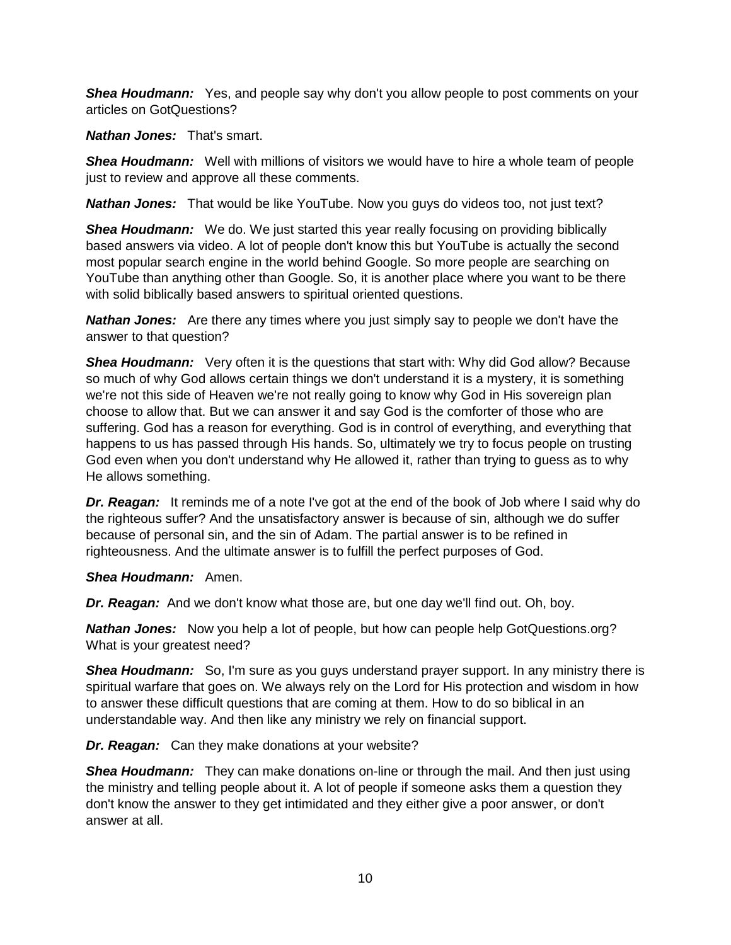*Shea Houdmann:* Yes, and people say why don't you allow people to post comments on your articles on GotQuestions?

*Nathan Jones:* That's smart.

**Shea Houdmann:** Well with millions of visitors we would have to hire a whole team of people just to review and approve all these comments.

*Nathan Jones:* That would be like YouTube. Now you guys do videos too, not just text?

**Shea Houdmann:** We do. We just started this year really focusing on providing biblically based answers via video. A lot of people don't know this but YouTube is actually the second most popular search engine in the world behind Google. So more people are searching on YouTube than anything other than Google. So, it is another place where you want to be there with solid biblically based answers to spiritual oriented questions.

*Nathan Jones:* Are there any times where you just simply say to people we don't have the answer to that question?

**Shea Houdmann:** Very often it is the questions that start with: Why did God allow? Because so much of why God allows certain things we don't understand it is a mystery, it is something we're not this side of Heaven we're not really going to know why God in His sovereign plan choose to allow that. But we can answer it and say God is the comforter of those who are suffering. God has a reason for everything. God is in control of everything, and everything that happens to us has passed through His hands. So, ultimately we try to focus people on trusting God even when you don't understand why He allowed it, rather than trying to guess as to why He allows something.

**Dr. Reagan:** It reminds me of a note I've got at the end of the book of Job where I said why do the righteous suffer? And the unsatisfactory answer is because of sin, although we do suffer because of personal sin, and the sin of Adam. The partial answer is to be refined in righteousness. And the ultimate answer is to fulfill the perfect purposes of God.

*Shea Houdmann:* Amen.

*Dr. Reagan:* And we don't know what those are, but one day we'll find out. Oh, boy.

*Nathan Jones:* Now you help a lot of people, but how can people help GotQuestions.org? What is your greatest need?

**Shea Houdmann:** So, I'm sure as you guys understand prayer support. In any ministry there is spiritual warfare that goes on. We always rely on the Lord for His protection and wisdom in how to answer these difficult questions that are coming at them. How to do so biblical in an understandable way. And then like any ministry we rely on financial support.

*Dr. Reagan:* Can they make donations at your website?

**Shea Houdmann:** They can make donations on-line or through the mail. And then just using the ministry and telling people about it. A lot of people if someone asks them a question they don't know the answer to they get intimidated and they either give a poor answer, or don't answer at all.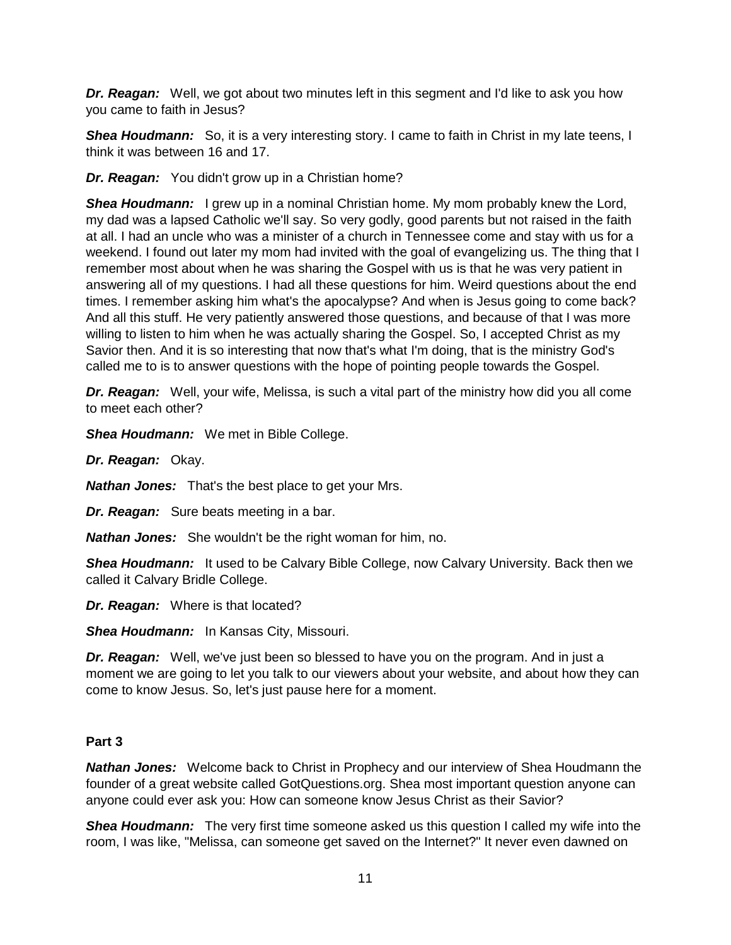**Dr. Reagan:** Well, we got about two minutes left in this segment and I'd like to ask you how you came to faith in Jesus?

*Shea Houdmann:* So, it is a very interesting story. I came to faith in Christ in my late teens, I think it was between 16 and 17.

*Dr. Reagan:* You didn't grow up in a Christian home?

**Shea Houdmann:** I grew up in a nominal Christian home. My mom probably knew the Lord, my dad was a lapsed Catholic we'll say. So very godly, good parents but not raised in the faith at all. I had an uncle who was a minister of a church in Tennessee come and stay with us for a weekend. I found out later my mom had invited with the goal of evangelizing us. The thing that I remember most about when he was sharing the Gospel with us is that he was very patient in answering all of my questions. I had all these questions for him. Weird questions about the end times. I remember asking him what's the apocalypse? And when is Jesus going to come back? And all this stuff. He very patiently answered those questions, and because of that I was more willing to listen to him when he was actually sharing the Gospel. So, I accepted Christ as my Savior then. And it is so interesting that now that's what I'm doing, that is the ministry God's called me to is to answer questions with the hope of pointing people towards the Gospel.

*Dr. Reagan:* Well, your wife, Melissa, is such a vital part of the ministry how did you all come to meet each other?

*Shea Houdmann:* We met in Bible College.

*Dr. Reagan:* Okay.

*Nathan Jones:* That's the best place to get your Mrs.

*Dr. Reagan:* Sure beats meeting in a bar.

*Nathan Jones:* She wouldn't be the right woman for him, no.

**Shea Houdmann:** It used to be Calvary Bible College, now Calvary University. Back then we called it Calvary Bridle College.

*Dr. Reagan:* Where is that located?

*Shea Houdmann:* In Kansas City, Missouri.

*Dr. Reagan:* Well, we've just been so blessed to have you on the program. And in just a moment we are going to let you talk to our viewers about your website, and about how they can come to know Jesus. So, let's just pause here for a moment.

### **Part 3**

*Nathan Jones:* Welcome back to Christ in Prophecy and our interview of Shea Houdmann the founder of a great website called GotQuestions.org. Shea most important question anyone can anyone could ever ask you: How can someone know Jesus Christ as their Savior?

**Shea Houdmann:** The very first time someone asked us this question I called my wife into the room, I was like, "Melissa, can someone get saved on the Internet?" It never even dawned on